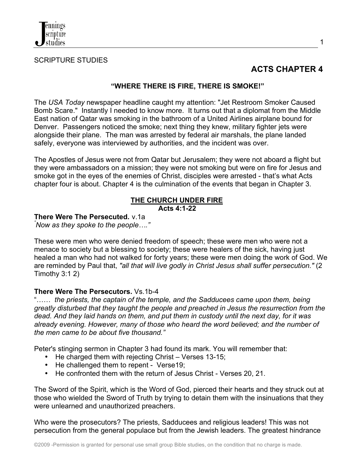

### SCRIPTURE STUDIES

# **ACTS CHAPTER 4**

#### **"WHERE THERE IS FIRE, THERE IS SMOKE!"**

The *USA Today* newspaper headline caught my attention: "Jet Restroom Smoker Caused Bomb Scare." Instantly I needed to know more. It turns out that a diplomat from the Middle East nation of Qatar was smoking in the bathroom of a United Airlines airplane bound for Denver. Passengers noticed the smoke; next thing they knew, military fighter jets were alongside their plane. The man was arrested by federal air marshals, the plane landed safely, everyone was interviewed by authorities, and the incident was over.

The Apostles of Jesus were not from Qatar but Jerusalem; they were not aboard a flight but they were ambassadors on a mission; they were not smoking but were on fire for Jesus and smoke got in the eyes of the enemies of Christ, disciples were arrested - that's what Acts chapter four is about. Chapter 4 is the culmination of the events that began in Chapter 3.

#### **THE CHURCH UNDER FIRE Acts 4:1-22**

#### **There Were The Persecuted.** v.1a *"*

*Now as they spoke to the people…."*

These were men who were denied freedom of speech; these were men who were not a menace to society but a blessing to society; these were healers of the sick, having just healed a man who had not walked for forty years; these were men doing the work of God. We are reminded by Paul that, *"all that will live godly in Christ Jesus shall suffer persecution."* (2 Timothy 3:1 2)

### **There Were The Persecutors.** Vs.1b-4

"…… *the priests, the captain of the temple, and the Sadducees came upon them, being greatly disturbed that they taught the people and preached in Jesus the resurrection from the dead. And they laid hands on them, and put them in custody until the next day, for it was already evening. However, many of those who heard the word believed; and the number of the men came to be about five thousand."*

Peter's stinging sermon in Chapter 3 had found its mark. You will remember that:

- He charged them with rejecting Christ Verses 13-15;
- He challenged them to repent Verse 19:
- He confronted them with the return of Jesus Christ Verses 20, 21.

The Sword of the Spirit, which is the Word of God, pierced their hearts and they struck out at those who wielded the Sword of Truth by trying to detain them with the insinuations that they were unlearned and unauthorized preachers.

Who were the prosecutors? The priests, Sadducees and religious leaders! This was not persecution from the general populace but from the Jewish leaders. The greatest hindrance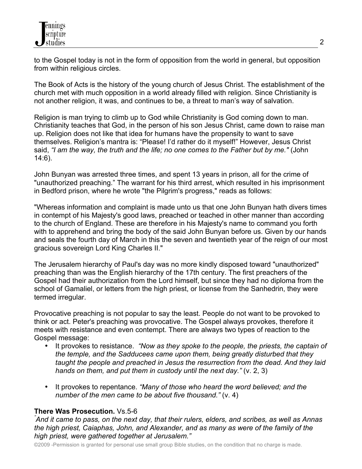to the Gospel today is not in the form of opposition from the world in general, but opposition from within religious circles.

The Book of Acts is the history of the young church of Jesus Christ. The establishment of the church met with much opposition in a world already filled with religion. Since Christianity is not another religion, it was, and continues to be, a threat to man's way of salvation.

Religion is man trying to climb up to God while Christianity is God coming down to man. Christianity teaches that God, in the person of his son Jesus Christ, came down to raise man up. Religion does not like that idea for humans have the propensity to want to save themselves. Religion's mantra is: "Please! I'd rather do it myself!" However, Jesus Christ said, *"I am the way, the truth and the life; no one comes to the Father but by me."* (John 14:6).

John Bunyan was arrested three times, and spent 13 years in prison, all for the crime of "unauthorized preaching." The warrant for his third arrest, which resulted in his imprisonment in Bedford prison, where he wrote "the Pilgrim's progress," reads as follows:

"Whereas information and complaint is made unto us that one John Bunyan hath divers times in contempt of his Majesty's good laws, preached or teached in other manner than according to the church of England. These are therefore in his Majesty's name to command you forth with to apprehend and bring the body of the said John Bunyan before us. Given by our hands and seals the fourth day of March in this the seven and twentieth year of the reign of our most gracious sovereign Lord King Charles II."

The Jerusalem hierarchy of Paul's day was no more kindly disposed toward "unauthorized" preaching than was the English hierarchy of the 17th century. The first preachers of the Gospel had their authorization from the Lord himself, but since they had no diploma from the school of Gamaliel, or letters from the high priest, or license from the Sanhedrin, they were termed irregular.

Provocative preaching is not popular to say the least. People do not want to be provoked to think or act. Peter's preaching was provocative. The Gospel always provokes, therefore it meets with resistance and even contempt. There are always two types of reaction to the Gospel message:

- It provokes to resistance. *"Now as they spoke to the people, the priests, the captain of the temple, and the Sadducees came upon them, being greatly disturbed that they taught the people and preached in Jesus the resurrection from the dead. And they laid hands on them, and put them in custody until the next day."* (v. 2, 3)
- It provokes to repentance. *"Many of those who heard the word believed; and the number of the men came to be about five thousand."* (v. 4)

# **There Was Prosecution.** Vs.5-6 *"*

*And it came to pass, on the next day, that their rulers, elders, and scribes, as well as Annas the high priest, Caiaphas, John, and Alexander, and as many as were of the family of the high priest, were gathered together at Jerusalem."*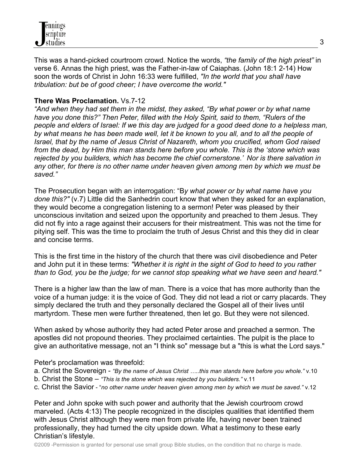

This was a hand-picked courtroom crowd. Notice the words, *"the family of the high priest"* in verse 6. Annas the high priest, was the Father-in-law of Caiaphas. (John 18:1 2-14) How soon the words of Christ in John 16:33 were fulfilled, *"In the world that you shall have tribulation: but be of good cheer; I have overcome the world."*

### **There Was Proclamation.** Vs.7-12

*"And when they had set them in the midst, they asked, "By what power or by what name have you done this?" Then Peter, filled with the Holy Spirit, said to them, "Rulers of the people and elders of Israel: If we this day are judged for a good deed done to a helpless man, by what means he has been made well, let it be known to you all, and to all the people of Israel, that by the name of Jesus Christ of Nazareth, whom you crucified, whom God raised from the dead, by Him this man stands here before you whole. This is the 'stone which was rejected by you builders, which has become the chief cornerstone.' Nor is there salvation in any other, for there is no other name under heaven given among men by which we must be saved."* 

The Prosecution began with an interrogation: "B*y what power or by what name have you done this?"* (v.7) Little did the Sanhedrin court know that when they asked for an explanation, they would become a congregation listening to a sermon! Peter was pleased by their unconscious invitation and seized upon the opportunity and preached to them Jesus. They did not fly into a rage against their accusers for their mistreatment. This was not the time for pitying self. This was the time to proclaim the truth of Jesus Christ and this they did in clear and concise terms.

This is the first time in the history of the church that there was civil disobedience and Peter and John put it in these terms: *"Whether it is right in the sight of God to heed to you rather than to God, you be the judge; for we cannot stop speaking what we have seen and heard."* 

There is a higher law than the law of man. There is a voice that has more authority than the voice of a human judge: it is the voice of God. They did not lead a riot or carry placards. They simply declared the truth and they personally declared the Gospel all of their lives until martyrdom. These men were further threatened, then let go. But they were not silenced.

When asked by whose authority they had acted Peter arose and preached a sermon. The apostles did not propound theories. They proclaimed certainties. The pulpit is the place to give an authoritative message, not an "I think so" message but a "this is what the Lord says."

Peter's proclamation was threefold:

- a. Christ the Sovereign *"By the name of Jesus Christ …..this man stands here before you whole."* v.10
- b. Christ the Stone *"This is the stone which was rejected by you builders."* v.11
- c. Christ the Savior "*no other name under heaven given among men by which we must be saved."* v.12

Peter and John spoke with such power and authority that the Jewish courtroom crowd marveled. (Acts 4:13) The people recognized in the disciples qualities that identified them with Jesus Christ although they were men from private life, having never been trained professionally, they had turned the city upside down. What a testimony to these early Christian's lifestyle.

©2009 -Permission is granted for personal use small group Bible studies, on the condition that no charge is made.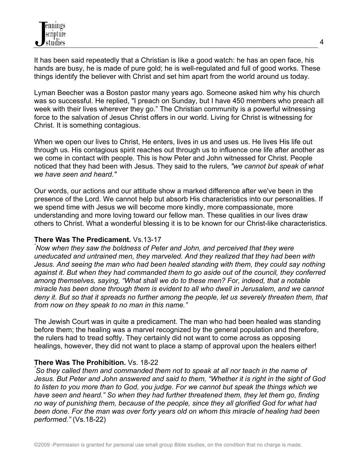It has been said repeatedly that a Christian is like a good watch: he has an open face, his hands are busy, he is made of pure gold; he is well-regulated and full of good works. These things identify the believer with Christ and set him apart from the world around us today.

Lyman Beecher was a Boston pastor many years ago. Someone asked him why his church was so successful. He replied, "I preach on Sunday, but I have 450 members who preach all week with their lives wherever they go." The Christian community is a powerful witnessing force to the salvation of Jesus Christ offers in our world. Living for Christ is witnessing for Christ. It is something contagious.

When we open our lives to Christ, He enters, lives in us and uses us. He lives His life out through us. His contagious spirit reaches out through us to influence one life after another as we come in contact with people. This is how Peter and John witnessed for Christ. People noticed that they had been with Jesus. They said to the rulers, *"we cannot but speak of what we have seen and heard."*

Our words, our actions and our attitude show a marked difference after we've been in the presence of the Lord. We cannot help but absorb His characteristics into our personalities. If we spend time with Jesus we will become more kindly, more compassionate, more understanding and more loving toward our fellow man. These qualities in our lives draw others to Christ. What a wonderful blessing it is to be known for our Christ-like characteristics.

### **There Was The Predicament.** Vs.13-17 *"*

*Now when they saw the boldness of Peter and John, and perceived that they were uneducated and untrained men, they marveled. And they realized that they had been with Jesus. And seeing the man who had been healed standing with them, they could say nothing against it. But when they had commanded them to go aside out of the council, they conferred among themselves, saying, "What shall we do to these men? For, indeed, that a notable miracle has been done through them is evident to all who dwell in Jerusalem, and we cannot deny it. But so that it spreads no further among the people, let us severely threaten them, that from now on they speak to no man in this name."* 

The Jewish Court was in quite a predicament. The man who had been healed was standing before them; the healing was a marvel recognized by the general population and therefore, the rulers had to tread softly. They certainly did not want to come across as opposing healings, however, they did not want to place a stamp of approval upon the healers either!

# **There Was The Prohibition.** Vs. 18-22 *"*

*So they called them and commanded them not to speak at all nor teach in the name of Jesus. But Peter and John answered and said to them, "Whether it is right in the sight of God to listen to you more than to God, you judge. For we cannot but speak the things which we have seen and heard." So when they had further threatened them, they let them go, finding no way of punishing them, because of the people, since they all glorified God for what had been done. For the man was over forty years old on whom this miracle of healing had been performed."* (Vs.18-22)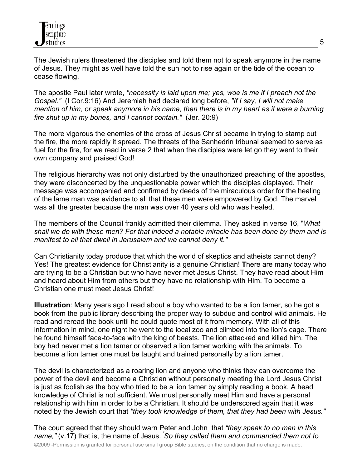The Jewish rulers threatened the disciples and told them not to speak anymore in the name of Jesus. They might as well have told the sun not to rise again or the tide of the ocean to cease flowing.

The apostle Paul later wrote, *"necessity is laid upon me; yes, woe is me if I preach not the Gospel."* (I Cor.9:16) And Jeremiah had declared long before, *"If I say, I will not make mention of him, or speak anymore in his name, then there is in my heart as it were a burning fire shut up in my bones, and I cannot contain."* (Jer. 20:9)

The more vigorous the enemies of the cross of Jesus Christ became in trying to stamp out the fire, the more rapidly it spread. The threats of the Sanhedrin tribunal seemed to serve as fuel for the fire, for we read in verse 2 that when the disciples were let go they went to their own company and praised God!

The religious hierarchy was not only disturbed by the unauthorized preaching of the apostles, they were disconcerted by the unquestionable power which the disciples displayed. Their message was accompanied and confirmed by deeds of the miraculous order for the healing of the lame man was evidence to all that these men were empowered by God. The marvel was all the greater because the man was over 40 years old who was healed.

The members of the Council frankly admitted their dilemma. They asked in verse 16, "*What shall we do with these men? For that indeed a notable miracle has been done by them and is manifest to all that dwell in Jerusalem and we cannot deny it."*

Can Christianity today produce that which the world of skeptics and atheists cannot deny? Yes! The greatest evidence for Christianity is a genuine Christian! **T**here are many today who are trying to be a Christian but who have never met Jesus Christ. They have read about Him and heard about Him from others but they have no relationship with Him. To become a Christian one must meet Jesus Christ!

**Illustration**: Many years ago I read about a boy who wanted to be a lion tamer, so he got a book from the public library describing the proper way to subdue and control wild animals. He read and reread the book until he could quote most of it from memory. With all of this information in mind, one night he went to the local zoo and climbed into the lion's cage. There he found himself face-to-face with the king of beasts. The lion attacked and killed him. The boy had never met a lion tamer or observed a lion tamer working with the animals. To become a lion tamer one must be taught and trained personally by a lion tamer.

The devil is characterized as a roaring lion and anyone who thinks they can overcome the power of the devil and become a Christian without personally meeting the Lord Jesus Christ is just as foolish as the boy who tried to be a lion tamer by simply reading a book. A head knowledge of Christ is not sufficient. We must personally meet Him and have a personal relationship with him in order to be a Christian. It should be underscored again that it was noted by the Jewish court that *"they took knowledge of them, that they had been with Jesus."*

The court agreed that they should warn Peter and John that *"they speak to no man in this name,"* (v.17) that is, the name of Jesus. *" So they called them and commanded them not to*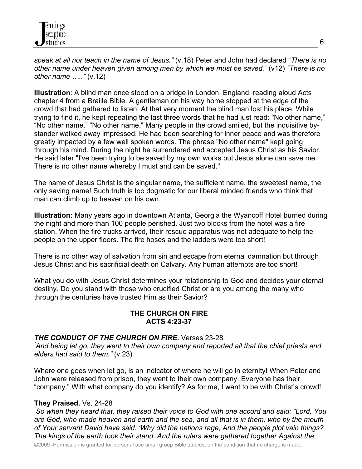*speak at all nor teach in the name of Jesus."* (v.18) Peter and John had declared "*There is no other name under heaven given among men by which we must be saved."* (v12) *"There is no other name ….."* (v.12)

**Illustration**: A blind man once stood on a bridge in London, England, reading aloud Acts chapter 4 from a Braille Bible. A gentleman on his way home stopped at the edge of the crowd that had gathered to listen. At that very moment the blind man lost his place. While trying to find it, he kept repeating the last three words that he had just read: "No other name," "No other name." "No other name." Many people in the crowd smiled, but the inquisitive bystander walked away impressed. He had been searching for inner peace and was therefore greatly impacted by a few well spoken words. The phrase "No other name" kept going through his mind. During the night he surrendered and accepted Jesus Christ as his Savior. He said later "I've been trying to be saved by my own works but Jesus alone can save me. There is no other name whereby I must and can be saved."

The name of Jesus Christ is the singular name, the sufficient name, the sweetest name, the only saving name! Such truth is too dogmatic for our liberal minded friends who think that man can climb up to heaven on his own.

**Illustration:** Many years ago in downtown Atlanta, Georgia the Wyancoff Hotel burned during the night and more than 100 people perished. Just two blocks from the hotel was a fire station. When the fire trucks arrived, their rescue apparatus was not adequate to help the people on the upper floors. The fire hoses and the ladders were too short!

There is no other way of salvation from sin and escape from eternal damnation but through Jesus Christ and his sacrificial death on Calvary. Any human attempts are too short!

What you do with Jesus Christ determines your relationship to God and decides your eternal destiny. Do you stand with those who crucified Christ or are you among the many who through the centuries have trusted Him as their Savior?

# **THE CHURCH ON FIRE ACTS 4:23-37**

# *THE CONDUCT OF THE CHURCH ON FIRE.* Verses 23-28*"*

*And being let go, they went to their own company and reported all that the chief priests and elders had said to them."* (v.23)

Where one goes when let go, is an indicator of where he will go in eternity! When Peter and John were released from prison, they went to their own company. Everyone has their "company." With what company do you identify? As for me, I want to be with Christ's crowd!

# **They Praised.** Vs. 24-28 *"*

*So when they heard that, they raised their voice to God with one accord and said: "Lord, You are God, who made heaven and earth and the sea, and all that is in them, who by the mouth of Your servant David have said: 'Why did the nations rage, And the people plot vain things? The kings of the earth took their stand, And the rulers were gathered together Against the* 

©2009 -Permission is granted for personal use small group Bible studies, on the condition that no charge is made.